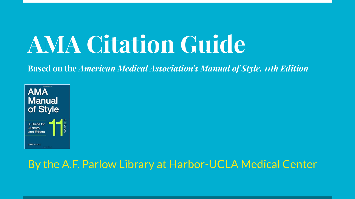# **AMA Citation Guide**

**Based on the** *American Medical Association's Manual of Style, 11th Edition*



### By the A.F. Parlow Library at Harbor-UCLA Medical Center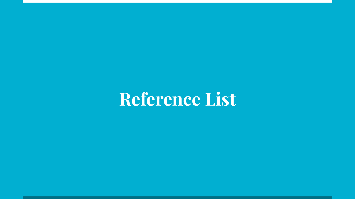# **Reference List**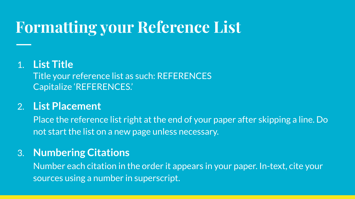## **Formatting your Reference List**

#### 1. **List Title**

Title your reference list as such: REFERENCES Capitalize 'REFERENCES.'

#### 2. **List Placement**

Place the reference list right at the end of your paper after skipping a line. Do not start the list on a new page unless necessary.

#### 3. **Numbering Citations**

Number each citation in the order it appears in your paper. In-text, cite your sources using a number in superscript.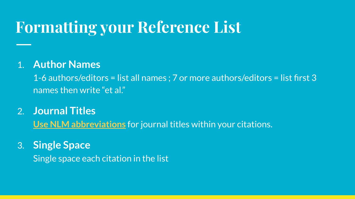## **Formatting your Reference List**

#### 1. **Author Names**

1-6 authors/editors = list all names ; 7 or more authors/editors = list first 3 names then write "et al."

- 2. **Journal Titles [Use NLM abbreviations](https://www.ncbi.nlm.nih.gov/nlmcatalog/journals)** for journal titles within your citations.
- 3. **Single Space** Single space each citation in the list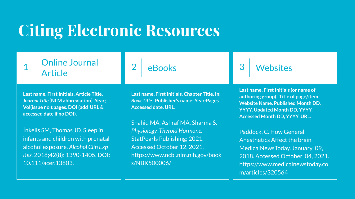### **Citing Electronic Resources**

#### Online Journal Article

**Last name, First Initials. Article Title.**  *Journal Title* **[NLM abbreviation]. Year; Vol(issue no.):pages. DOI (add URL & accessed date if no DOI).**

Inkelis SM, Thomas JD. Sleep in infants and children with prenatal alcohol exposure. *Alcohol Clin Exp Res.* 2018;42(8): 1390-1405. DOI: 10.111/acer.13803.

#### **eBooks**

**Last name, First Initials. Chapter Title. In:**  *Book Title.* **Publisher's name; Year:Pages. Accessed date. URL.** 

Shahid MA, Ashraf MA, Sharma S. *Physiology, Thyroid Hormone.* StatPearls Publishing; 2021. Accessed October 12, 2021. https://www.ncbi.nlm.nih.gov/book s/NBK500006/

### **Websites**

**Last name, First Initials (or name of authoring group). Title of page/item. Website Name. Published Month DD, YYYY. Updated Month DD, YYYY. Accessed Month DD, YYYY. URL.**

Paddock, C. How General Anesthetics Affect the brain. MedicalNewsToday. January 09, 2018. Accessed October 04, 2021. https://www.medicalnewstoday.co m/articles/320564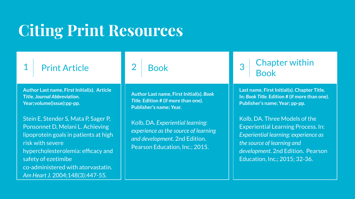# **Citing Print Resources**

### **Print Article**

**Author Last name, First Initial(s). Article Title.** *Journal Abbreviation***. Year;volume(issue):pp-pp.**

Stein E, Stender S, Mata P, Sager P, Ponsonnet D, Melani L. Achieving lipoprotein goals in patients at high risk with severe hypercholesterolemia: efficacy and safety of ezetimibe co-administered with atorvastatin. *Am Heart J.* 2004;148(3):447-55.

### **Book**

**Author Last name, First Initial(s).** *Book Title.* **Edition # (if more than one). Publisher's name; Year.**

Kolb, DA. *Experiential learning: experience as the source of learning and development*. 2nd Edition. Pearson Education, Inc.; 2015.

3 Chapter within Book

**Last name, First Initial(s). Chapter Title. In:** *Book Title.* **Edition # (if more than one). Publisher's name; Year; pp-pp.**

Kolb, DA. Three Models of the Experiential Learning Process. In: *Experiential learning: experience as the source of learning and development*. 2nd Edition. Pearson Education, Inc.; 2015; 32-36.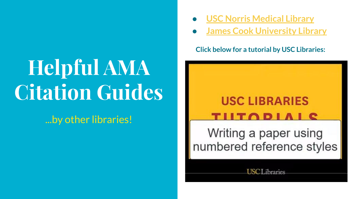# **Helpful AMA Citation Guides**

...by other libraries!

- **● [USC Norris Medical Library](https://libguides.usc.edu/c.php?g=1029472&p=7460847)**
- **[James Cook University Library](https://libguides.jcu.edu.au/ama/getting-started)**

**Click below for a tutorial by USC Libraries:**

### **USC LIBRARIES**  $\blacksquare$

Writing a paper using numbered reference styles

**USCL**ibraries